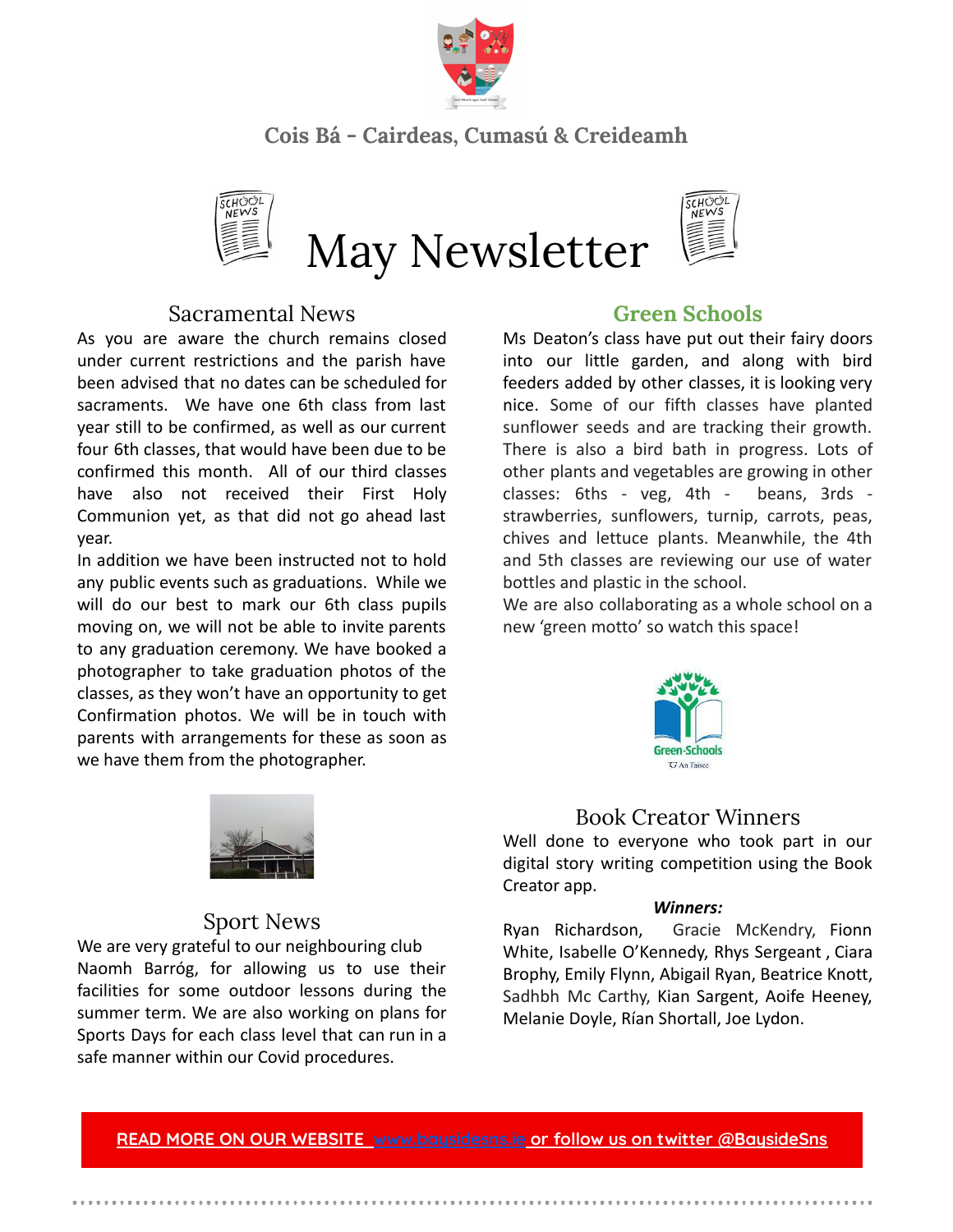

# **Cois Bá - Cairdeas, Cumasú & Creideamh**



### Sacramental News

As you are aware the church remains closed under current restrictions and the parish have been advised that no dates can be scheduled for sacraments. We have one 6th class from last year still to be confirmed, as well as our current four 6th classes, that would have been due to be confirmed this month. All of our third classes have also not received their First Holy Communion yet, as that did not go ahead last year.

In addition we have been instructed not to hold any public events such as graduations. While we will do our best to mark our 6th class pupils moving on, we will not be able to invite parents to any graduation ceremony. We have booked a photographer to take graduation photos of the classes, as they won't have an opportunity to get Confirmation photos. We will be in touch with parents with arrangements for these as soon as we have them from the photographer.



Ms Deaton's class have put out their fairy doors into our little garden, and along with bird feeders added by other classes, it is looking very nice. Some of our fifth classes have planted sunflower seeds and are tracking their growth. There is also a bird bath in progress. Lots of other plants and vegetables are growing in other classes: 6ths - veg, 4th - beans, 3rds strawberries, sunflowers, turnip, carrots, peas, chives and lettuce plants. Meanwhile, the 4th and 5th classes are reviewing our use of water bottles and plastic in the school.

We are also collaborating as a whole school on a new 'green motto' so watch this space!



### Book Creator Winners

Well done to everyone who took part in our digital story writing competition using the Book Creator app.

#### *Winners:*

Ryan Richardson, Gracie McKendry, Fionn White, Isabelle O'Kennedy, Rhys Sergeant , Ciara Brophy, Emily Flynn, Abigail Ryan, Beatrice Knott, Sadhbh Mc Carthy, Kian Sargent, Aoife Heeney, Melanie Doyle, Rían Shortall, Joe Lydon.



### Sport News

We are very grateful to our neighbouring club Naomh Barróg, for allowing us to use their facilities for some outdoor lessons during the summer term. We are also working on plans for Sports Days for each class level that can run in a safe manner within our Covid procedures.

**READ MORE ON OUR [WEBSITE](http://www.google.com/) [www.baysidesns.ie](http://www.baysidesns.ie) or follow us on twitter @BaysideSns**